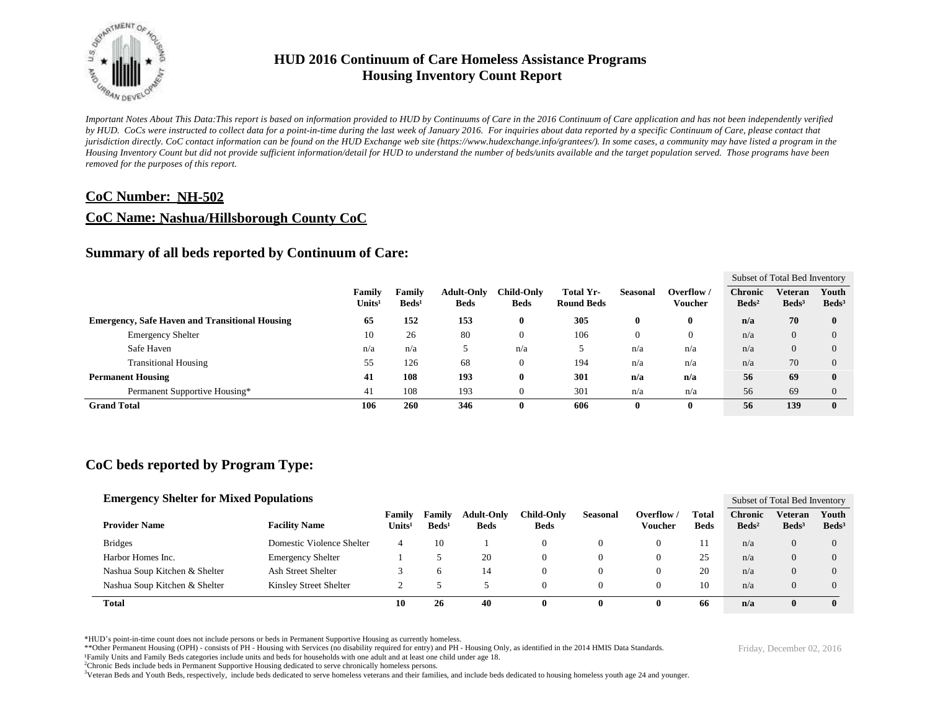

*Important Notes About This Data:This report is based on information provided to HUD by Continuums of Care in the 2016 Continuum of Care application and has not been independently verified by HUD. CoCs were instructed to collect data for a point-in-time during the last week of January 2016. For inquiries about data reported by a specific Continuum of Care, please contact that jurisdiction directly. CoC contact information can be found on the HUD Exchange web site (https://www.hudexchange.info/grantees/). In some cases, a community may have listed a program in the Housing Inventory Count but did not provide sufficient information/detail for HUD to understand the number of beds/units available and the target population served. Those programs have been removed for the purposes of this report.*

### **CoC Number: NH-502**

### **CoC Name: Nashua/Hillsborough County CoC**

### **Summary of all beds reported by Continuum of Care:**

|                                                       |                              |                           |                                  |                                  |                                |              |                             | Subset of Total Bed Inventory     |                                   |                          |  |
|-------------------------------------------------------|------------------------------|---------------------------|----------------------------------|----------------------------------|--------------------------------|--------------|-----------------------------|-----------------------------------|-----------------------------------|--------------------------|--|
|                                                       | Family<br>Units <sup>1</sup> | Family<br>$\text{Beds}^1$ | <b>Adult-Only</b><br><b>Beds</b> | <b>Child-Only</b><br><b>Beds</b> | Total Yr-<br><b>Round Beds</b> | Seasonal     | Overflow/<br><b>Voucher</b> | <b>Chronic</b><br>$\text{Beds}^2$ | <b>Veteran</b><br>$\text{Beds}^3$ | Youth<br>$\text{Beds}^3$ |  |
| <b>Emergency, Safe Haven and Transitional Housing</b> | 65                           | 152                       | 153                              | $\bf{0}$                         | 305                            | $\mathbf{0}$ | 0                           | n/a                               | 70                                | $\mathbf{0}$             |  |
| <b>Emergency Shelter</b>                              | 10                           | 26                        | 80                               | $\theta$                         | 106                            |              | $\Omega$                    | n/a                               | $\overline{0}$                    | $\Omega$                 |  |
| Safe Haven                                            | n/a                          | n/a                       |                                  | n/a                              |                                | n/a          | n/a                         | n/a                               | $\overline{0}$                    | $\Omega$                 |  |
| <b>Transitional Housing</b>                           | 55                           | 126                       | 68                               | $\theta$                         | 194                            | n/a          | n/a                         | n/a                               | 70                                | $\Omega$                 |  |
| <b>Permanent Housing</b>                              | 41                           | 108                       | 193                              | $\bf{0}$                         | 301                            | n/a          | n/a                         | 56                                | 69                                | $\mathbf{0}$             |  |
| Permanent Supportive Housing*                         | 41                           | 108                       | 193                              | $\theta$                         | 301                            | n/a          | n/a                         | 56                                | 69                                | $\Omega$                 |  |
| <b>Grand Total</b>                                    |                              | 260                       | 346                              | $\bf{0}$                         | 606                            | $\mathbf{0}$ | 0                           | 56                                | 139                               | $\mathbf{0}$             |  |

## **CoC beds reported by Program Type:**

| <b>Emergency Shelter for Mixed Populations</b> |                               |                           |                                     |                             |                                  |                           |                 |                       |                      |                                   | Subset of Total Bed Inventory     |                          |  |  |
|------------------------------------------------|-------------------------------|---------------------------|-------------------------------------|-----------------------------|----------------------------------|---------------------------|-----------------|-----------------------|----------------------|-----------------------------------|-----------------------------------|--------------------------|--|--|
|                                                | <b>Provider Name</b>          | <b>Facility Name</b>      | <b>Family</b><br>Units <sup>1</sup> | Family<br>Beds <sup>1</sup> | <b>Adult-Only</b><br><b>Beds</b> | Child-Onlv<br><b>Beds</b> | <b>Seasonal</b> | Overflow /<br>Voucher | Total<br><b>Beds</b> | <b>Chronic</b><br>$\text{Beds}^2$ | <b>Veteran</b><br>$\text{Beds}^3$ | Youth<br>$\text{Beds}^3$ |  |  |
|                                                | <b>Bridges</b>                | Domestic Violence Shelter | 4                                   | 10                          |                                  | 0                         |                 | $\Omega$              |                      | n/a                               | 0                                 | 0                        |  |  |
|                                                | Harbor Homes Inc.             | <b>Emergency Shelter</b>  |                                     |                             | 20                               | υ                         |                 | 0                     | 25                   | n/a                               | 0                                 | 0                        |  |  |
|                                                | Nashua Soup Kitchen & Shelter | Ash Street Shelter        |                                     |                             | 14                               | O                         |                 | 0                     | 20                   | n/a                               | 0                                 |                          |  |  |
|                                                | Nashua Soup Kitchen & Shelter | Kinsley Street Shelter    |                                     |                             |                                  | υ                         |                 |                       | 10                   | n/a                               |                                   |                          |  |  |
|                                                | <b>Total</b>                  |                           | 10                                  | 26                          | 40                               | o                         |                 | 0                     | 66                   | n/a                               | 0                                 |                          |  |  |

\*HUD's point-in-time count does not include persons or beds in Permanent Supportive Housing as currently homeless.

\*\*Other Permanent Housing (OPH) - consists of PH - Housing with Services (no disability required for entry) and PH - Housing Only, as identified in the 2014 HMIS Data Standards.

¹Family Units and Family Beds categories include units and beds for households with one adult and at least one child under age 18.

<sup>2</sup>Chronic Beds include beds in Permanent Supportive Housing dedicated to serve chronically homeless persons.

<sup>3</sup>Veteran Beds and Youth Beds, respectively, include beds dedicated to serve homeless veterans and their families, and include beds dedicated to housing homeless youth age 24 and younger.

Friday, December 02, 2016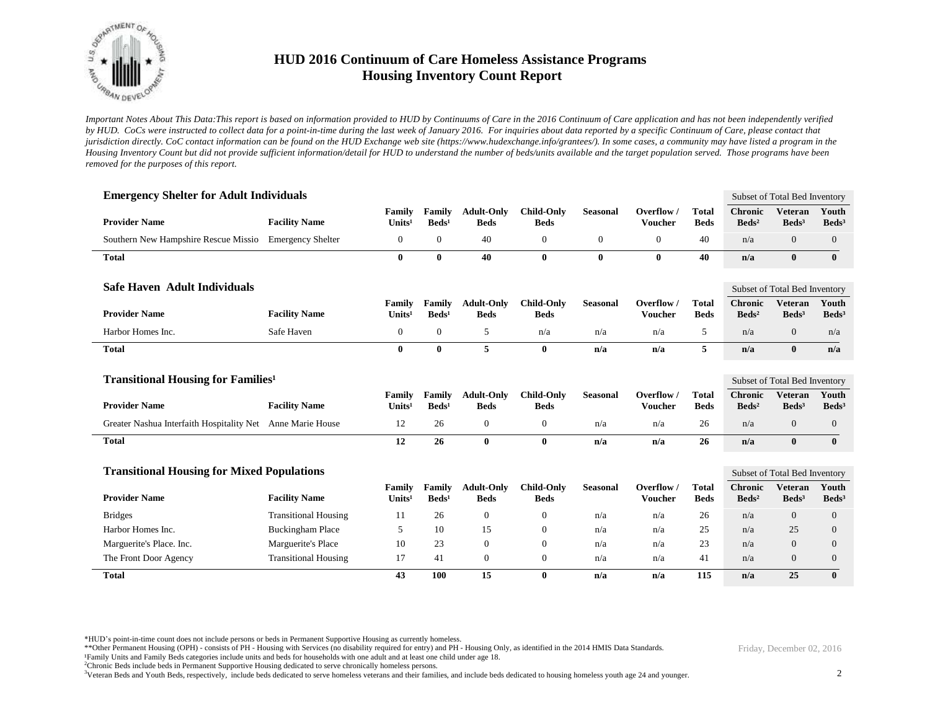

*Important Notes About This Data:This report is based on information provided to HUD by Continuums of Care in the 2016 Continuum of Care application and has not been independently verified by HUD. CoCs were instructed to collect data for a point-in-time during the last week of January 2016. For inquiries about data reported by a specific Continuum of Care, please contact that jurisdiction directly. CoC contact information can be found on the HUD Exchange web site (https://www.hudexchange.info/grantees/). In some cases, a community may have listed a program in the Housing Inventory Count but did not provide sufficient information/detail for HUD to understand the number of beds/units available and the target population served. Those programs have been removed for the purposes of this report.*

| <b>Emergency Shelter for Adult Individuals</b>             |                             |                              |                             |                                  |                                  |                 |                              |                             | Subset of Total Bed Inventory       |                                     |                            |
|------------------------------------------------------------|-----------------------------|------------------------------|-----------------------------|----------------------------------|----------------------------------|-----------------|------------------------------|-----------------------------|-------------------------------------|-------------------------------------|----------------------------|
| <b>Provider Name</b>                                       | <b>Facility Name</b>        | Family<br>Units <sup>1</sup> | Family<br>$\text{Beds}^1$   | <b>Adult-Only</b><br><b>Beds</b> | <b>Child-Only</b><br><b>Beds</b> | <b>Seasonal</b> | Overflow /<br><b>Voucher</b> | <b>Total</b><br><b>Beds</b> | <b>Chronic</b><br>$\text{Beds}^2$   | <b>Veteran</b><br>$\text{Beds}^3$   | Youth<br>Beds <sup>3</sup> |
| Southern New Hampshire Rescue Missio                       | <b>Emergency Shelter</b>    | $\mathbf{0}$                 | $\boldsymbol{0}$            | 40                               | $\mathbf{0}$                     | $\overline{0}$  | $\mathbf{0}$                 | 40                          | n/a                                 | $\overline{0}$                      | $\mathbf{0}$               |
| <b>Total</b>                                               |                             | $\mathbf{0}$                 | 0                           | 40                               | $\bf{0}$                         | $\bf{0}$        | $\mathbf{0}$                 | 40                          | n/a                                 | $\mathbf{0}$                        | $\bf{0}$                   |
| <b>Safe Haven Adult Individuals</b>                        |                             |                              |                             |                                  |                                  |                 |                              |                             |                                     | Subset of Total Bed Inventory       |                            |
| <b>Provider Name</b>                                       | <b>Facility Name</b>        | Family<br>Units <sup>1</sup> | Family<br>$\text{Beds}^1$   | <b>Adult-Only</b><br><b>Beds</b> | <b>Child-Only</b><br><b>Beds</b> | <b>Seasonal</b> | Overflow /<br><b>Voucher</b> | <b>Total</b><br><b>Beds</b> | <b>Chronic</b><br>$\text{Beds}^2$   | <b>Veteran</b><br>$\text{Beds}^3$   | Youth<br>Beds <sup>3</sup> |
| Harbor Homes Inc.                                          | Safe Haven                  | $\mathbf{0}$                 | $\overline{0}$              | 5                                | n/a                              | n/a             | n/a                          | 5                           | n/a                                 | $\overline{0}$                      | n/a                        |
| <b>Total</b>                                               |                             | $\bf{0}$                     | $\bf{0}$                    | 5                                | $\bf{0}$                         | n/a             | n/a                          | 5                           | n/a                                 | $\bf{0}$                            | n/a                        |
| <b>Transitional Housing for Families<sup>1</sup></b>       |                             |                              |                             |                                  |                                  |                 |                              |                             | Subset of Total Bed Inventory       |                                     |                            |
| <b>Provider Name</b>                                       | <b>Facility Name</b>        | Family<br>Units <sup>1</sup> | Family<br>Beds <sup>1</sup> | <b>Adult-Only</b><br><b>Beds</b> | <b>Child-Only</b><br><b>Beds</b> | <b>Seasonal</b> | Overflow /<br><b>Voucher</b> | <b>Total</b><br><b>Beds</b> | <b>Chronic</b><br>Beds <sup>2</sup> | <b>Veteran</b><br>Beds <sup>3</sup> | Youth<br>Beds <sup>3</sup> |
| Greater Nashua Interfaith Hospitality Net Anne Marie House |                             | 12                           | 26                          | $\mathbf{0}$                     | $\mathbf{0}$                     | n/a             | n/a                          | 26                          | n/a                                 | $\overline{0}$                      | $\mathbf{0}$               |
| <b>Total</b>                                               |                             | 12                           | 26                          | $\bf{0}$                         | $\bf{0}$                         | n/a             | n/a                          | 26                          | n/a                                 | $\mathbf{0}$                        | $\bf{0}$                   |
| <b>Transitional Housing for Mixed Populations</b>          |                             |                              |                             |                                  |                                  |                 |                              |                             |                                     | Subset of Total Bed Inventory       |                            |
| <b>Provider Name</b>                                       | <b>Facility Name</b>        | Family<br>Units <sup>1</sup> | Family<br>$\text{Beds}^1$   | <b>Adult-Only</b><br><b>Beds</b> | <b>Child-Only</b><br><b>Beds</b> | <b>Seasonal</b> | Overflow /<br><b>Voucher</b> | <b>Total</b><br><b>Beds</b> | <b>Chronic</b><br>$\text{Beds}^2$   | <b>Veteran</b><br>$\text{Beds}^3$   | Youth<br>Beds <sup>3</sup> |
| <b>Bridges</b>                                             | <b>Transitional Housing</b> | 11                           | 26                          | $\mathbf{0}$                     | $\mathbf{0}$                     | n/a             | n/a                          | 26                          | n/a                                 | $\boldsymbol{0}$                    | $\boldsymbol{0}$           |
| Harbor Homes Inc.                                          | <b>Buckingham Place</b>     | 5                            | 10                          | 15                               | $\mathbf{0}$                     | n/a             | n/a                          | 25                          | n/a                                 | 25                                  | $\mathbf{0}$               |
| Marguerite's Place. Inc.                                   | Marguerite's Place          | 10                           | 23                          | $\theta$                         | $\mathbf{0}$                     | n/a             | n/a                          | 23                          | n/a                                 | $\theta$                            | $\overline{0}$             |
| The Front Door Agency                                      | <b>Transitional Housing</b> | 17                           | 41                          | $\mathbf{0}$                     | $\mathbf{0}$                     | n/a             | n/a                          | 41                          | n/a                                 | $\overline{0}$                      | $\boldsymbol{0}$           |
| <b>Total</b>                                               |                             | 43                           | 100                         | 15                               | $\bf{0}$                         | n/a             | n/a                          | 115                         | n/a                                 | 25                                  | $\bf{0}$                   |

\*HUD's point-in-time count does not include persons or beds in Permanent Supportive Housing as currently homeless.

\*\*Other Permanent Housing (OPH) - consists of PH - Housing with Services (no disability required for entry) and PH - Housing Only, as identified in the 2014 HMIS Data Standards.

¹Family Units and Family Beds categories include units and beds for households with one adult and at least one child under age 18.

<sup>2</sup>Chronic Beds include beds in Permanent Supportive Housing dedicated to serve chronically homeless persons.

<sup>3</sup>Veteran Beds and Youth Beds, respectively, include beds dedicated to serve homeless veterans and their families, and include beds dedicated to housing homeless youth age 24 and younger.

Friday, December 02, 2016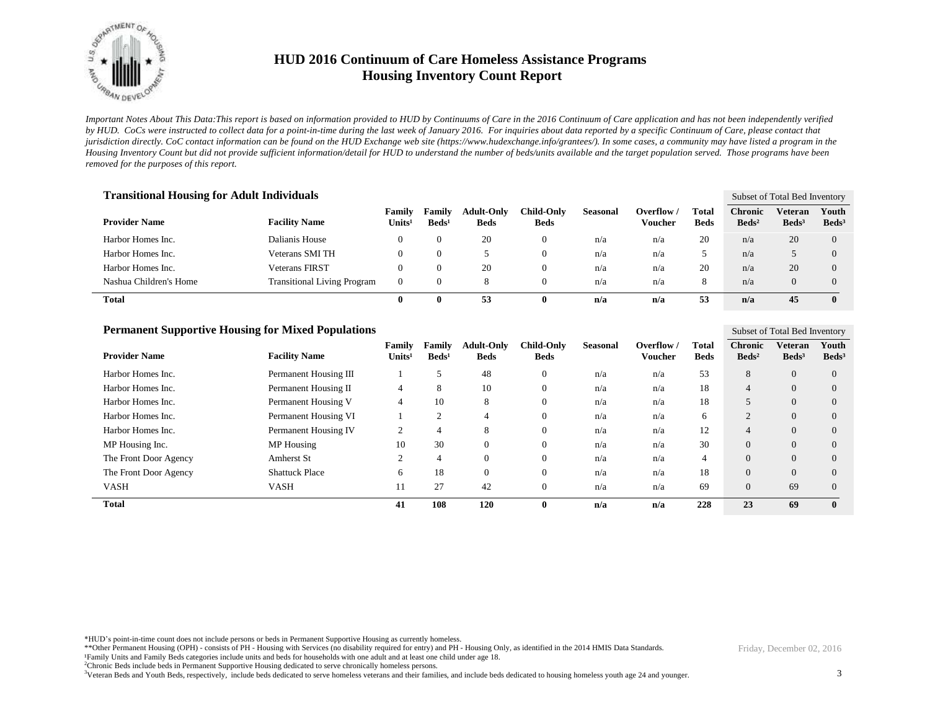

*Important Notes About This Data:This report is based on information provided to HUD by Continuums of Care in the 2016 Continuum of Care application and has not been independently verified by HUD. CoCs were instructed to collect data for a point-in-time during the last week of January 2016. For inquiries about data reported by a specific Continuum of Care, please contact that jurisdiction directly. CoC contact information can be found on the HUD Exchange web site (https://www.hudexchange.info/grantees/). In some cases, a community may have listed a program in the Housing Inventory Count but did not provide sufficient information/detail for HUD to understand the number of beds/units available and the target population served. Those programs have been removed for the purposes of this report.*

| <b>Transitional Housing for Adult Individuals</b> |                                    |                         |                             |                                  |                           |                 |                       |                      |                                     | Subset of Total Bed Inventory |                            |  |  |
|---------------------------------------------------|------------------------------------|-------------------------|-----------------------------|----------------------------------|---------------------------|-----------------|-----------------------|----------------------|-------------------------------------|-------------------------------|----------------------------|--|--|
| <b>Provider Name</b>                              | <b>Facility Name</b>               | Family<br>$\bf Units^1$ | Family<br>Beds <sup>1</sup> | <b>Adult-Only</b><br><b>Beds</b> | Child-Only<br><b>Beds</b> | <b>Seasonal</b> | Overflow /<br>Voucher | Total<br><b>Beds</b> | <b>Chronic</b><br>Beds <sup>2</sup> | Veteran<br>Beds <sup>3</sup>  | Youth<br>Beds <sup>3</sup> |  |  |
| Harbor Homes Inc.                                 | Dalianis House                     | $\theta$                | 0                           | 20                               |                           | n/a             | n/a                   | 20                   | n/a                                 | 20                            | $\Omega$                   |  |  |
| Harbor Homes Inc.                                 | Veterans SMI TH                    | $\overline{0}$          | 0                           |                                  | 0                         | n/a             | n/a                   |                      | n/a                                 |                               | $\overline{0}$             |  |  |
| Harbor Homes Inc.                                 | <b>Veterans FIRST</b>              | $\theta$                | 0                           | 20                               | O                         | n/a             | n/a                   | 20                   | n/a                                 | 20                            | $\Omega$                   |  |  |
| Nashua Children's Home                            | <b>Transitional Living Program</b> | $\theta$                |                             |                                  |                           | n/a             | n/a                   | 8                    | n/a                                 | $\Omega$                      | $\Omega$                   |  |  |
| <b>Total</b>                                      |                                    | 0                       | 0                           | 53                               | o                         | n/a             | n/a                   | 53                   | n/a                                 | 45                            | $\mathbf{0}$               |  |  |

| <b>Permanent Supportive Housing for Mixed Populations</b> |                       |                              |                           |                                  |                                  |                 |                              |                      | Subset of Total Bed Inventory     |                              |                            |  |
|-----------------------------------------------------------|-----------------------|------------------------------|---------------------------|----------------------------------|----------------------------------|-----------------|------------------------------|----------------------|-----------------------------------|------------------------------|----------------------------|--|
| <b>Provider Name</b>                                      | <b>Facility Name</b>  | Family<br>Units <sup>1</sup> | Family<br>$\text{Beds}^1$ | <b>Adult-Only</b><br><b>Beds</b> | <b>Child-Only</b><br><b>Beds</b> | <b>Seasonal</b> | Overflow /<br><b>Voucher</b> | Total<br><b>Beds</b> | <b>Chronic</b><br>$\text{Beds}^2$ | Veteran<br>Beds <sup>3</sup> | Youth<br>Beds <sup>3</sup> |  |
| Harbor Homes Inc.                                         | Permanent Housing III |                              | 5                         | 48                               | $\mathbf{0}$                     | n/a             | n/a                          | 53                   | 8                                 | $\overline{0}$               | $\Omega$                   |  |
| Harbor Homes Inc.                                         | Permanent Housing II  | 4                            | Õ.                        | 10                               | $\mathbf{0}$                     | n/a             | n/a                          | 18                   | 4                                 | $\theta$                     | $\Omega$                   |  |
| Harbor Homes Inc.                                         | Permanent Housing V   | 4                            | 10                        | 8                                | $\overline{0}$                   | n/a             | n/a                          | 18                   | 5                                 | $\theta$                     | $\theta$                   |  |
| Harbor Homes Inc.                                         | Permanent Housing VI  |                              | 2                         | 4                                | $\mathbf{0}$                     | n/a             | n/a                          | 6                    | $\gamma$                          | $\theta$                     | $\Omega$                   |  |
| Harbor Homes Inc.                                         | Permanent Housing IV  | $\bigcap$<br>∠               |                           | 8                                | $\overline{0}$                   | n/a             | n/a                          | 12                   | $\overline{4}$                    | $\Omega$                     | $\Omega$                   |  |
| MP Housing Inc.                                           | MP Housing            | 10                           | 30                        | $\theta$                         | $\overline{0}$                   | n/a             | n/a                          | 30                   | $\Omega$                          | $\Omega$                     | $\Omega$                   |  |
| The Front Door Agency                                     | Amherst St            | $\overline{c}$               | 4                         | $\theta$                         | $\mathbf{0}$                     | n/a             | n/a                          | 4                    | $\Omega$                          | $\theta$                     | $\Omega$                   |  |
| The Front Door Agency                                     | <b>Shattuck Place</b> | 6                            | 18                        | $\theta$                         | $\overline{0}$                   | n/a             | n/a                          | 18                   | $\overline{0}$                    | $\overline{0}$               | $\Omega$                   |  |
| <b>VASH</b>                                               | <b>VASH</b>           | 11                           | 27                        | 42                               | $\mathbf{0}$                     | n/a             | n/a                          | 69                   | $\Omega$                          | 69                           | $\Omega$                   |  |
| <b>Total</b>                                              |                       | 41                           | 108                       | 120                              | $\mathbf{0}$                     | n/a             | n/a                          | 228                  | 23                                | 69                           | $\mathbf{0}$               |  |

\*HUD's point-in-time count does not include persons or beds in Permanent Supportive Housing as currently homeless.

\*\*Other Permanent Housing (OPH) - consists of PH - Housing with Services (no disability required for entry) and PH - Housing Only, as identified in the 2014 HMIS Data Standards.

¹Family Units and Family Beds categories include units and beds for households with one adult and at least one child under age 18.

<sup>2</sup>Chronic Beds include beds in Permanent Supportive Housing dedicated to serve chronically homeless persons.

<sup>3</sup>Veteran Beds and Youth Beds, respectively, include beds dedicated to serve homeless veterans and their families, and include beds dedicated to housing homeless youth age 24 and younger.